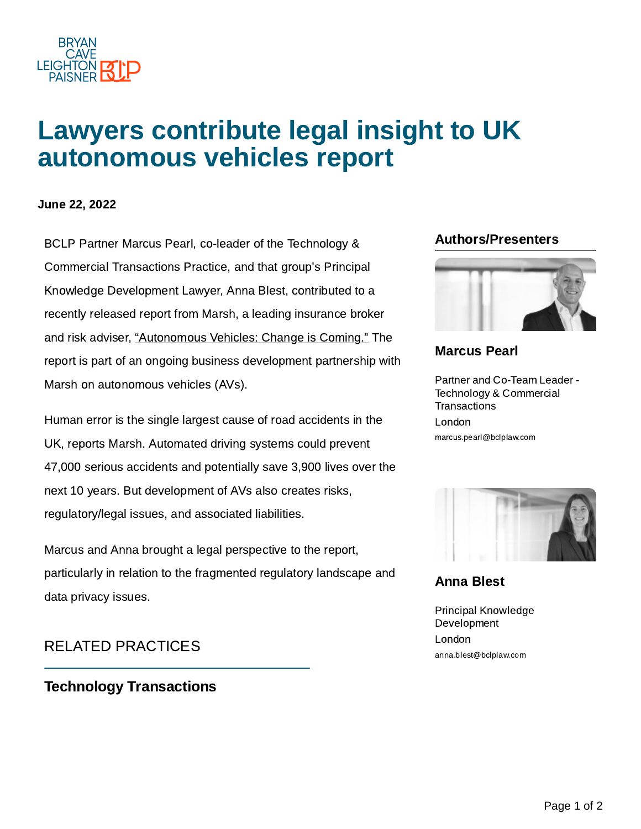

# Lawyers contribute legal insight to UK autonomous vehicles report

#### June 22, 2022

BCLP Partner Marcus Pearl, co-leader of the Technology & **Authors/Presenters** Commercial Transactions Practice, and that group's Principal Knowledge Development Lawyer, Anna Blest, contributed to a recently released report from Marsh, a leading insurance broker and risk adviser, ["Autonomous Vehicles:](https://www.marsh.com/uk/services/sharing-economy/insights/autonomous-vehicles-change-is-coming.html) Change is Coming." The report is part of an ongoing business development partnership with Marsh on autonomous vehicles (AVs).

Human error is the single largest cause of road accidents in the UK, reports Marsh. Automated driving systems could prevent 47,000 serious accidents and potentially save 3,900 lives over the next 10 years. But development of AVs also creates risks, regulatory/legal issues, and associated liabilities.

Marcus and Anna brought a legal perspective to the report, particularly in relation to the fragmented regulatory landscape and data privacy issues.

## RELATED PRACTICES

Technology [Transactions](https://www.bclplaw.com/en-US/practices/corporate/technology-transactions/index.html)



### [Marcus](https://www.bclplaw.com/en-US/people/marcus-pearl.html) Pearl

Partner and Co-Team Leader - Technology & Commercial **Transactions** London marcus.pearl@bclplaw.com



[Anna](https://www.bclplaw.com/en-US/people/anna-blest.html) Blest

Principal Knowledge Development London anna.blest@bclplaw.com